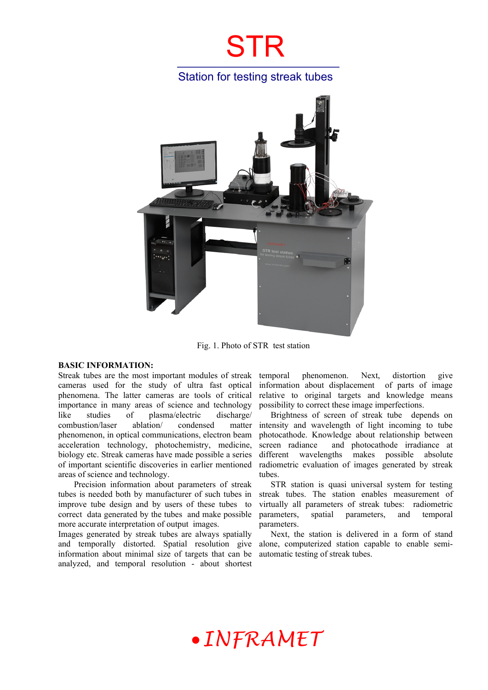## Station for testing streak tubes



Fig. 1. Photo of STR test station

#### **BASIC INFORMATION:**

Streak tubes are the most important modules of streak cameras used for the study of ultra fast optical phenomena. The latter cameras are tools of critical importance in many areas of science and technology like studies of plasma/electric discharge/ combustion/laser ablation/ condensed matter phenomenon, in optical communications, electron beam acceleration technology, photochemistry, medicine, biology etc. Streak cameras have made possible a series of important scientific discoveries in earlier mentioned areas of science and technology.

 Precision information about parameters of streak tubes is needed both by manufacturer of such tubes in improve tube design and by users of these tubes to correct data generated by the tubes and make possible more accurate interpretation of output images.

Images generated by streak tubes are always spatially and temporally distorted. Spatial resolution give information about minimal size of targets that can be analyzed, and temporal resolution - about shortest

temporal phenomenon. Next, distortion give information about displacement of parts of image relative to original targets and knowledge means possibility to correct these image imperfections.

Brightness of screen of streak tube depends on intensity and wavelength of light incoming to tube photocathode. Knowledge about relationship between screen radiance and photocathode irradiance at different wavelengths makes possible absolute radiometric evaluation of images generated by streak tubes.

STR station is quasi universal system for testing streak tubes. The station enables measurement of virtually all parameters of streak tubes: radiometric parameters, spatial parameters, and temporal parameters.

Next, the station is delivered in a form of stand alone, computerized station capable to enable semiautomatic testing of streak tubes.

# *INFRAMET*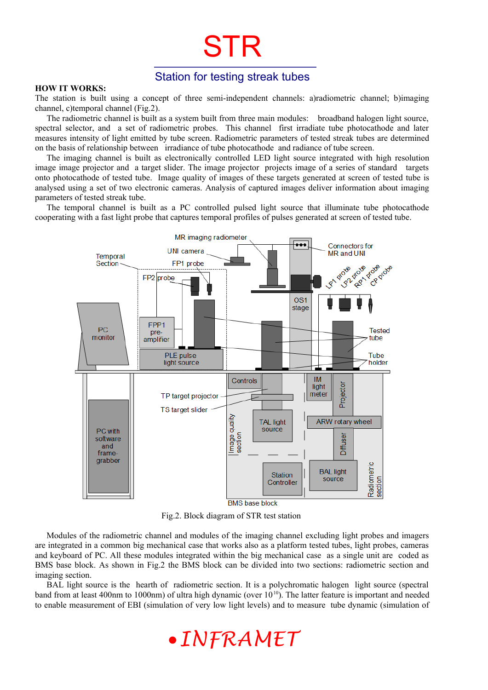## Station for testing streak tubes

STR

#### **HOW IT WORKS:**

The station is built using a concept of three semi-independent channels: a)radiometric channel; b)imaging channel, c)temporal channel (Fig.2).

The radiometric channel is built as a system built from three main modules: broadband halogen light source, spectral selector, and a set of radiometric probes. This channel first irradiate tube photocathode and later measures intensity of light emitted by tube screen. Radiometric parameters of tested streak tubes are determined on the basis of relationship between irradiance of tube photocathode and radiance of tube screen.

The imaging channel is built as electronically controlled LED light source integrated with high resolution image image projector and a target slider. The image projector projects image of a series of standard targets onto photocathode of tested tube. Image quality of images of these targets generated at screen of tested tube is analysed using a set of two electronic cameras. Analysis of captured images deliver information about imaging parameters of tested streak tube.

The temporal channel is built as a PC controlled pulsed light source that illuminate tube photocathode cooperating with a fast light probe that captures temporal profiles of pulses generated at screen of tested tube.



Fig.2. Block diagram of STR test station

Modules of the radiometric channel and modules of the imaging channel excluding light probes and imagers are integrated in a common big mechanical case that works also as a platform tested tubes, light probes, cameras and keyboard of PC. All these modules integrated within the big mechanical case as a single unit are coded as BMS base block. As shown in Fig.2 the BMS block can be divided into two sections: radiometric section and imaging section.

BAL light source is the hearth of radiometric section. It is a polychromatic halogen light source (spectral band from at least 400nm to 1000nm) of ultra high dynamic (over  $10^{10}$ ). The latter feature is important and needed to enable measurement of EBI (simulation of very low light levels) and to measure tube dynamic (simulation of

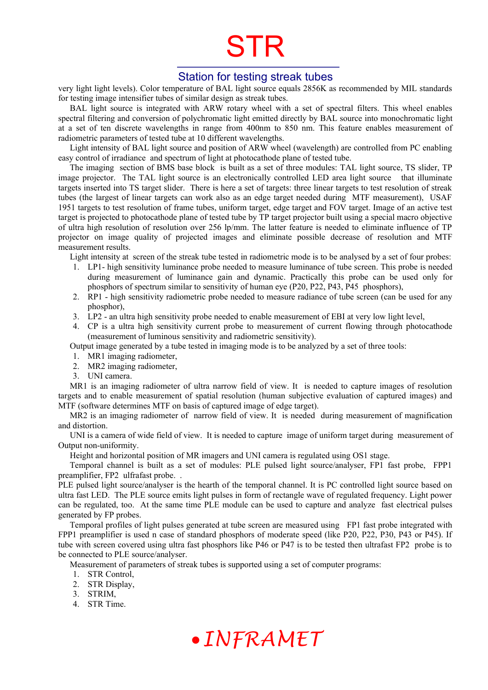### Station for testing streak tubes

very light light levels). Color temperature of BAL light source equals 2856K as recommended by MIL standards for testing image intensifier tubes of similar design as streak tubes.

BAL light source is integrated with ARW rotary wheel with a set of spectral filters. This wheel enables spectral filtering and conversion of polychromatic light emitted directly by BAL source into monochromatic light at a set of ten discrete wavelengths in range from 400nm to 850 nm. This feature enables measurement of radiometric parameters of tested tube at 10 different wavelengths.

Light intensity of BAL light source and position of ARW wheel (wavelength) are controlled from PC enabling easy control of irradiance and spectrum of light at photocathode plane of tested tube.

The imaging section of BMS base block is built as a set of three modules: TAL light source, TS slider, TP image projector. The TAL light source is an electronically controlled LED area light source that illuminate targets inserted into TS target slider. There is here a set of targets: three linear targets to test resolution of streak tubes (the largest of linear targets can work also as an edge target needed during MTF measurement), USAF 1951 targets to test resolution of frame tubes, uniform target, edge target and FOV target. Image of an active test target is projected to photocathode plane of tested tube by TP target projector built using a special macro objective of ultra high resolution of resolution over 256 lp/mm. The latter feature is needed to eliminate influence of TP projector on image quality of projected images and eliminate possible decrease of resolution and MTF measurement results.

Light intensity at screen of the streak tube tested in radiometric mode is to be analysed by a set of four probes:

- 1. LP1- high sensitivity luminance probe needed to measure luminance of tube screen. This probe is needed during measurement of luminance gain and dynamic. Practically this probe can be used only for phosphors of spectrum similar to sensitivity of human eye (P20, P22, P43, P45 phosphors),
- 2. RP1 high sensitivity radiometric probe needed to measure radiance of tube screen (can be used for any phosphor),
- 3. LP2 an ultra high sensitivity probe needed to enable measurement of EBI at very low light level,
- 4. CP is a ultra high sensitivity current probe to measurement of current flowing through photocathode (measurement of luminous sensitivity and radiometric sensitivity).

Output image generated by a tube tested in imaging mode is to be analyzed by a set of three tools:

- 1. MR1 imaging radiometer,
- 2. MR2 imaging radiometer,
- 3. UNI camera.

MR1 is an imaging radiometer of ultra narrow field of view. It is needed to capture images of resolution targets and to enable measurement of spatial resolution (human subjective evaluation of captured images) and MTF (software determines MTF on basis of captured image of edge target).

MR2 is an imaging radiometer of narrow field of view. It is needed during measurement of magnification and distortion.

UNI is a camera of wide field of view. It is needed to capture image of uniform target during measurement of Output non-uniformity.

Height and horizontal position of MR imagers and UNI camera is regulated using OS1 stage.

Temporal channel is built as a set of modules: PLE pulsed light source/analyser, FP1 fast probe, FPP1 preamplifier, FP2 ulfrafast probe. .

PLE pulsed light source/analyser is the hearth of the temporal channel. It is PC controlled light source based on ultra fast LED. The PLE source emits light pulses in form of rectangle wave of regulated frequency. Light power can be regulated, too. At the same time PLE module can be used to capture and analyze fast electrical pulses generated by FP probes.

Temporal profiles of light pulses generated at tube screen are measured using FP1 fast probe integrated with FPP1 preamplifier is used n case of standard phosphors of moderate speed (like P20, P22, P30, P43 or P45). If tube with screen covered using ultra fast phosphors like P46 or P47 is to be tested then ultrafast FP2 probe is to be connected to PLE source/analyser.

Measurement of parameters of streak tubes is supported using a set of computer programs:

- 1. STR Control,
- 2. STR Display,
- 3. STRIM,
- 4. STR Time.

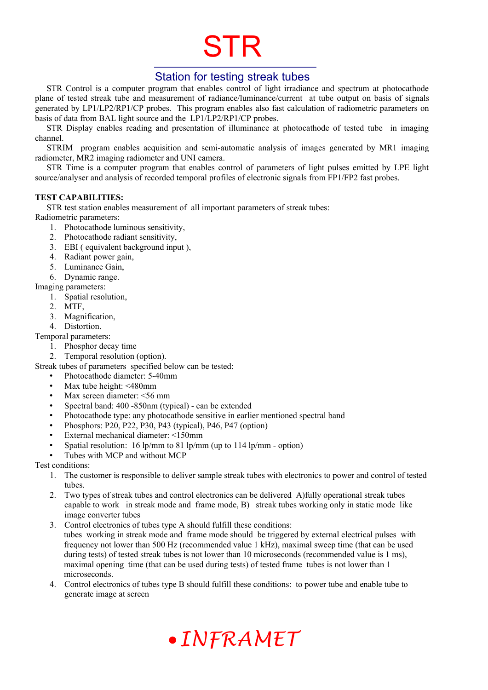### Station for testing streak tubes

STR Control is a computer program that enables control of light irradiance and spectrum at photocathode plane of tested streak tube and measurement of radiance/luminance/current at tube output on basis of signals generated by LP1/LP2/RP1/CP probes. This program enables also fast calculation of radiometric parameters on basis of data from BAL light source and the LP1/LP2/RP1/CP probes.

STR Display enables reading and presentation of illuminance at photocathode of tested tube in imaging channel.

STRIM program enables acquisition and semi-automatic analysis of images generated by MR1 imaging radiometer, MR2 imaging radiometer and UNI camera.

STR Time is a computer program that enables control of parameters of light pulses emitted by LPE light source/analyser and analysis of recorded temporal profiles of electronic signals from FP1/FP2 fast probes.

#### **TEST CAPABILITIES:**

STR test station enables measurement of all important parameters of streak tubes:

- Radiometric parameters:
	- 1. Photocathode luminous sensitivity,
	- 2. Photocathode radiant sensitivity,
	- 3. EBI ( equivalent background input ),
	- 4. Radiant power gain,
	- 5. Luminance Gain,
	- 6. Dynamic range.
- Imaging parameters:
	- 1. Spatial resolution,
	- 2. MTF,
	- 3. Magnification,
	- 4. Distortion.

Temporal parameters:

- 1. Phosphor decay time
- 2. Temporal resolution (option).

Streak tubes of parameters specified below can be tested:

- Photocathode diameter: 5-40mm
- Max tube height: <480mm
- Max screen diameter: <56 mm
- Spectral band: 400 -850nm (typical) can be extended
- Photocathode type: any photocathode sensitive in earlier mentioned spectral band
- Phosphors: P20, P22, P30, P43 (typical), P46, P47 (option)
- External mechanical diameter: <150mm
- Spatial resolution: 16 lp/mm to 81 lp/mm (up to 114 lp/mm option)
- Tubes with MCP and without MCP

Test conditions:

- 1. The customer is responsible to deliver sample streak tubes with electronics to power and control of tested tubes.
- 2. Two types of streak tubes and control electronics can be delivered A)fully operational streak tubes capable to work in streak mode and frame mode, B) streak tubes working only in static mode like image converter tubes
- 3. Control electronics of tubes type A should fulfill these conditions: tubes working in streak mode and frame mode should be triggered by external electrical pulses with frequency not lower than 500 Hz (recommended value 1 kHz), maximal sweep time (that can be used during tests) of tested streak tubes is not lower than 10 microseconds (recommended value is 1 ms), maximal opening time (that can be used during tests) of tested frame tubes is not lower than 1 microseconds.
- 4. Control electronics of tubes type B should fulfill these conditions: to power tube and enable tube to generate image at screen